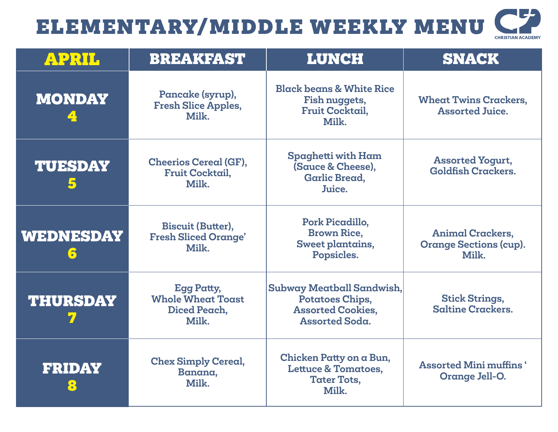| <b>CHRISTIAN ACADEMY</b> |  |
|--------------------------|--|

| APRIL                 | <b>BREAKFAST</b>                                                       | <b>LUNCH</b>                                                                                      | <b>SNACK</b>                                                      |
|-----------------------|------------------------------------------------------------------------|---------------------------------------------------------------------------------------------------|-------------------------------------------------------------------|
| <b>MONDAY</b>         | Pancake (syrup),<br><b>Fresh Slice Apples,</b><br>Milk.                | <b>Black beans &amp; White Rice</b><br>Fish nuggets,<br><b>Fruit Cocktail,</b><br>Milk.           | <b>Wheat Twins Crackers,</b><br><b>Assorted Juice.</b>            |
| <b>TUESDAY</b><br>5   | <b>Cheerios Cereal (GF),</b><br><b>Fruit Cocktail,</b><br>Milk.        | Spaghetti with Ham<br>(Sauce & Cheese),<br><b>Garlic Bread,</b><br>Juice.                         | <b>Assorted Yogurt,</b><br><b>Goldfish Crackers.</b>              |
| <b>WEDNESDAY</b><br>6 | <b>Biscuit (Butter),</b><br><b>Fresh Sliced Orange'</b><br>Milk.       | Pork Picadillo,<br><b>Brown Rice,</b><br>Sweet plantains,<br>Popsicles.                           | <b>Animal Crackers,</b><br><b>Orange Sections (cup).</b><br>Milk. |
| <b>THURSDAY</b>       | <b>Egg Patty,</b><br><b>Whole Wheat Toast</b><br>Diced Peach,<br>Milk. | Subway Meatball Sandwish,<br>Potatoes Chips,<br><b>Assorted Cookies,</b><br><b>Assorted Soda.</b> | <b>Stick Strings,</b><br><b>Saltine Crackers.</b>                 |
| <b>FRIDAY</b><br>8    | <b>Chex Simply Cereal,</b><br>Banana,<br>Milk.                         | Chicken Patty on a Bun,<br><b>Lettuce &amp; Tomatoes,</b><br><b>Tater Tots,</b><br>Milk.          | <b>Assorted Mini muffins</b> '<br>Orange Jell-O.                  |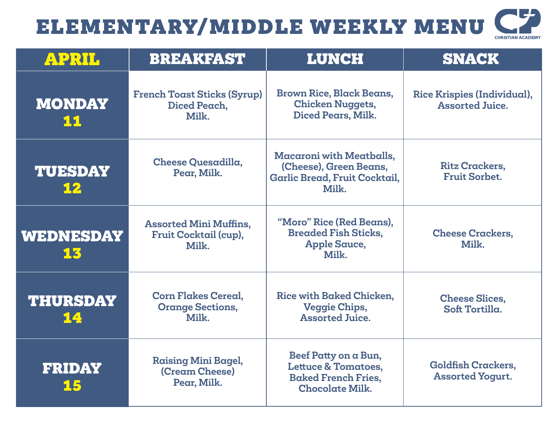| <b>CHRISTIAN ACADEMY</b> |
|--------------------------|

| <b>APRIL</b>           | <b>BREAKFAST</b>                                                | <b>LUNCH</b>                                                                                                   | <b>SNACK</b>                                          |
|------------------------|-----------------------------------------------------------------|----------------------------------------------------------------------------------------------------------------|-------------------------------------------------------|
| <b>MONDAY</b><br>11    | <b>French Toast Sticks (Syrup)</b><br>Diced Peach,<br>Milk.     | <b>Brown Rice, Black Beans,</b><br><b>Chicken Nuggets,</b><br>Diced Pears, Milk.                               | Rice Krispies (Individual),<br><b>Assorted Juice.</b> |
| <b>TUESDAY</b><br>12   | <b>Cheese Quesadilla,</b><br>Pear, Milk.                        | <b>Macaroni with Meatballs,</b><br>(Cheese), Green Beans,<br><b>Garlic Bread, Fruit Cocktail,</b><br>Milk.     | <b>Ritz Crackers,</b><br><b>Fruit Sorbet.</b>         |
| <b>WEDNESDAY</b><br>13 | <b>Assorted Mini Muffins,</b><br>Fruit Cocktail (cup),<br>Milk. | "Moro" Rice (Red Beans),<br><b>Breaded Fish Sticks,</b><br><b>Apple Sauce,</b><br>Milk.                        | <b>Cheese Crackers,</b><br>Milk.                      |
| <b>THURSDAY</b><br>14  | <b>Corn Flakes Cereal,</b><br><b>Orange Sections,</b><br>Milk.  | Rice with Baked Chicken.<br><b>Veggie Chips,</b><br><b>Assorted Juice.</b>                                     | <b>Cheese Slices,</b><br>Soft Tortilla.               |
| <b>FRIDAY</b><br>15    | <b>Raising Mini Bagel,</b><br>(Cream Cheese)<br>Pear, Milk.     | Beef Patty on a Bun,<br><b>Lettuce &amp; Tomatoes,</b><br><b>Baked French Fries,</b><br><b>Chocolate Milk.</b> | <b>Goldfish Crackers,</b><br><b>Assorted Yogurt.</b>  |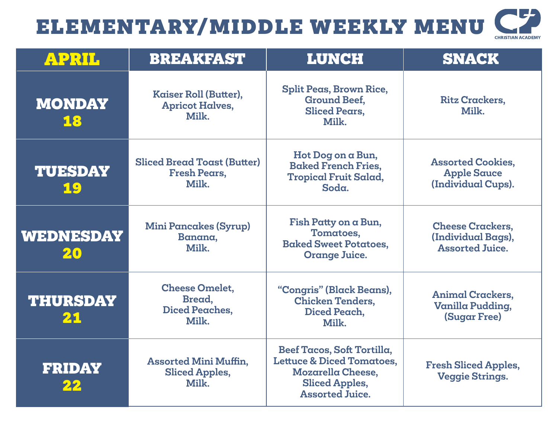| <b>CHRISTIAN ACADEMY</b> |  |
|--------------------------|--|

| <b>APRIL</b>           | <b>BREAKFAST</b>                                                   | <b>LUNCH</b>                                                                                                                               | <b>SNACK</b>                                                            |
|------------------------|--------------------------------------------------------------------|--------------------------------------------------------------------------------------------------------------------------------------------|-------------------------------------------------------------------------|
| <b>MONDAY</b><br>18    | Kaiser Roll (Butter),<br><b>Apricot Halves,</b><br>Milk.           | <b>Split Peas, Brown Rice,</b><br><b>Ground Beef,</b><br><b>Sliced Pears.</b><br>Milk.                                                     | <b>Ritz Crackers,</b><br>Milk.                                          |
| <b>TUESDAY</b><br>19   | <b>Sliced Bread Toast (Butter)</b><br><b>Fresh Pears,</b><br>Milk. | Hot Dog on a Bun,<br><b>Baked French Fries,</b><br><b>Tropical Fruit Salad,</b><br>Soda.                                                   | <b>Assorted Cookies,</b><br><b>Apple Sauce</b><br>(Individual Cups).    |
| <b>WEDNESDAY</b><br>20 | <b>Mini Pancakes (Syrup)</b><br>Banana,<br>Milk.                   | Fish Patty on a Bun,<br>Tomatoes,<br><b>Baked Sweet Potatoes,</b><br><b>Orange Juice.</b>                                                  | <b>Cheese Crackers,</b><br>(Individual Bags),<br><b>Assorted Juice.</b> |
| <b>THURSDAY</b><br>21  | <b>Cheese Omelet,</b><br>Bread,<br>Diced Peaches,<br>Milk.         | "Congris" (Black Beans),<br><b>Chicken Tenders,</b><br>Diced Peach,<br>Milk.                                                               | <b>Animal Crackers,</b><br>Vanilla Pudding,<br><b>(Sugar Free)</b>      |
| <b>FRIDAY</b><br>22    | <b>Assorted Mini Muffin,</b><br><b>Sliced Apples,</b><br>Milk.     | Beef Tacos, Soft Tortilla,<br><b>Lettuce &amp; Diced Tomatoes,</b><br>Mozarella Cheese,<br><b>Sliced Apples,</b><br><b>Assorted Juice.</b> | <b>Fresh Sliced Apples,</b><br><b>Veggie Strings.</b>                   |